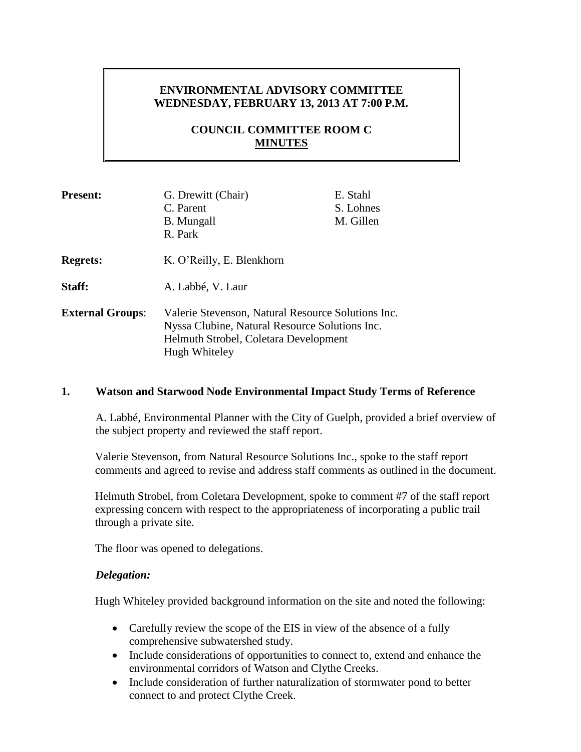# **ENVIRONMENTAL ADVISORY COMMITTEE WEDNESDAY, FEBRUARY 13, 2013 AT 7:00 P.M.**

# **COUNCIL COMMITTEE ROOM C MINUTES**

| <b>Present:</b>         | G. Drewitt (Chair)<br>C. Parent<br><b>B.</b> Mungall<br>R. Park                                                                                                | E. Stahl<br>S. Lohnes<br>M. Gillen |
|-------------------------|----------------------------------------------------------------------------------------------------------------------------------------------------------------|------------------------------------|
| <b>Regrets:</b>         | K. O'Reilly, E. Blenkhorn                                                                                                                                      |                                    |
| Staff:                  | A. Labbé, V. Laur                                                                                                                                              |                                    |
| <b>External Groups:</b> | Valerie Stevenson, Natural Resource Solutions Inc.<br>Nyssa Clubine, Natural Resource Solutions Inc.<br>Helmuth Strobel, Coletara Development<br>Hugh Whiteley |                                    |

### **1. Watson and Starwood Node Environmental Impact Study Terms of Reference**

A. Labbé, Environmental Planner with the City of Guelph, provided a brief overview of the subject property and reviewed the staff report.

Valerie Stevenson, from Natural Resource Solutions Inc., spoke to the staff report comments and agreed to revise and address staff comments as outlined in the document.

Helmuth Strobel, from Coletara Development, spoke to comment #7 of the staff report expressing concern with respect to the appropriateness of incorporating a public trail through a private site.

The floor was opened to delegations.

### *Delegation:*

Hugh Whiteley provided background information on the site and noted the following:

- Carefully review the scope of the EIS in view of the absence of a fully comprehensive subwatershed study.
- Include considerations of opportunities to connect to, extend and enhance the environmental corridors of Watson and Clythe Creeks.
- Include consideration of further naturalization of stormwater pond to better connect to and protect Clythe Creek.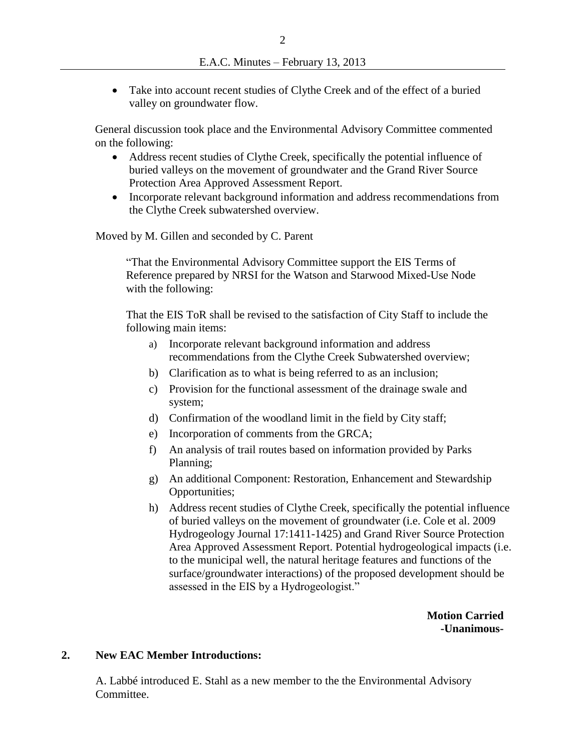Take into account recent studies of Clythe Creek and of the effect of a buried valley on groundwater flow.

General discussion took place and the Environmental Advisory Committee commented on the following:

- Address recent studies of Clythe Creek, specifically the potential influence of buried valleys on the movement of groundwater and the Grand River Source Protection Area Approved Assessment Report.
- Incorporate relevant background information and address recommendations from the Clythe Creek subwatershed overview.

Moved by M. Gillen and seconded by C. Parent

"That the Environmental Advisory Committee support the EIS Terms of Reference prepared by NRSI for the Watson and Starwood Mixed-Use Node with the following:

That the EIS ToR shall be revised to the satisfaction of City Staff to include the following main items:

- a) Incorporate relevant background information and address recommendations from the Clythe Creek Subwatershed overview;
- b) Clarification as to what is being referred to as an inclusion;
- c) Provision for the functional assessment of the drainage swale and system;
- d) Confirmation of the woodland limit in the field by City staff;
- e) Incorporation of comments from the GRCA;
- f) An analysis of trail routes based on information provided by Parks Planning;
- g) An additional Component: Restoration, Enhancement and Stewardship Opportunities;
- h) Address recent studies of Clythe Creek, specifically the potential influence of buried valleys on the movement of groundwater (i.e. Cole et al. 2009 Hydrogeology Journal 17:1411-1425) and Grand River Source Protection Area Approved Assessment Report. Potential hydrogeological impacts (i.e. to the municipal well, the natural heritage features and functions of the surface/groundwater interactions) of the proposed development should be assessed in the EIS by a Hydrogeologist."

**Motion Carried -Unanimous-**

#### **2. New EAC Member Introductions:**

A. Labbé introduced E. Stahl as a new member to the the Environmental Advisory Committee.